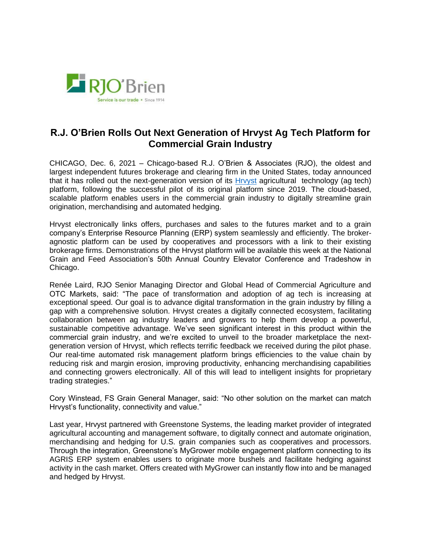

## **R.J. O'Brien Rolls Out Next Generation of Hrvyst Ag Tech Platform for Commercial Grain Industry**

CHICAGO, Dec. 6, 2021 – Chicago-based R.J. O'Brien & Associates (RJO), the oldest and largest independent futures brokerage and clearing firm in the United States, today announced that it has rolled out the next-generation version of its [Hrvyst](https://hrvyst.com/) agricultural technology (ag tech) platform, following the successful pilot of its original platform since 2019. The cloud-based, scalable platform enables users in the commercial grain industry to digitally streamline grain origination, merchandising and automated hedging.

Hrvyst electronically links offers, purchases and sales to the futures market and to a grain company's Enterprise Resource Planning (ERP) system seamlessly and efficiently. The brokeragnostic platform can be used by cooperatives and processors with a link to their existing brokerage firms. Demonstrations of the Hrvyst platform will be available this week at the National Grain and Feed Association's 50th Annual Country Elevator Conference and Tradeshow in Chicago.

Renée Laird, RJO Senior Managing Director and Global Head of Commercial Agriculture and OTC Markets, said: "The pace of transformation and adoption of ag tech is increasing at exceptional speed. Our goal is to advance digital transformation in the grain industry by filling a gap with a comprehensive solution. Hrvyst creates a digitally connected ecosystem, facilitating collaboration between ag industry leaders and growers to help them develop a powerful, sustainable competitive advantage. We've seen significant interest in this product within the commercial grain industry, and we're excited to unveil to the broader marketplace the nextgeneration version of Hrvyst, which reflects terrific feedback we received during the pilot phase. Our real-time automated risk management platform brings efficiencies to the value chain by reducing risk and margin erosion, improving productivity, enhancing merchandising capabilities and connecting growers electronically. All of this will lead to intelligent insights for proprietary trading strategies."

Cory Winstead, FS Grain General Manager, said: "No other solution on the market can match Hrvyst's functionality, connectivity and value."

Last year, Hrvyst partnered with Greenstone Systems, the leading market provider of integrated agricultural accounting and management software, to digitally connect and automate origination, merchandising and hedging for U.S. grain companies such as cooperatives and processors. Through the integration, Greenstone's MyGrower mobile engagement platform connecting to its AGRIS ERP system enables users to originate more bushels and facilitate hedging against activity in the cash market. Offers created with MyGrower can instantly flow into and be managed and hedged by Hrvyst.